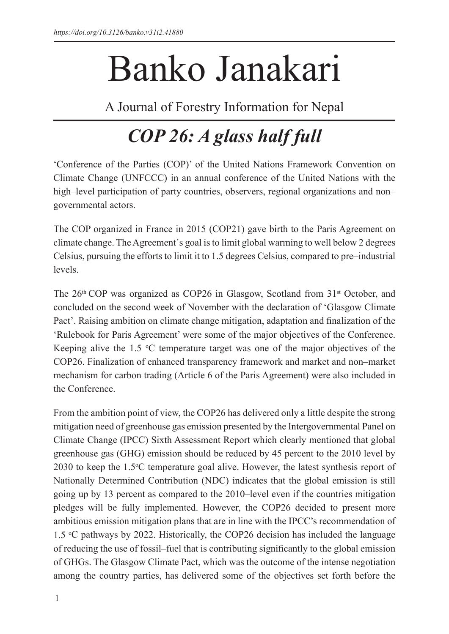## Banko Janakari

A Journal of Forestry Information for Nepal

## *COP 26: A glass half full*

'Conference of the Parties (COP)' of the United Nations Framework Convention on Climate Change (UNFCCC) in an annual conference of the United Nations with the high–level participation of party countries, observers, regional organizations and non– governmental actors.

The COP organized in France in 2015 (COP21) gave birth to the Paris Agreement on climate change. The Agreement´s goal is to limit global warming to well below 2 degrees Celsius, pursuing the efforts to limit it to 1.5 degrees Celsius, compared to pre–industrial levels.

The  $26<sup>th</sup> COP$  was organized as COP26 in Glasgow, Scotland from  $31<sup>st</sup>$  October, and concluded on the second week of November with the declaration of 'Glasgow Climate Pact'. Raising ambition on climate change mitigation, adaptation and finalization of the 'Rulebook for Paris Agreement' were some of the major objectives of the Conference. Keeping alive the  $1.5 \text{ }^{\circ}\text{C}$  temperature target was one of the major objectives of the COP26. Finalization of enhanced transparency framework and market and non–market mechanism for carbon trading (Article 6 of the Paris Agreement) were also included in the Conference.

From the ambition point of view, the COP26 has delivered only a little despite the strong mitigation need of greenhouse gas emission presented by the Intergovernmental Panel on Climate Change (IPCC) Sixth Assessment Report which clearly mentioned that global greenhouse gas (GHG) emission should be reduced by 45 percent to the 2010 level by 2030 to keep the 1.5°C temperature goal alive. However, the latest synthesis report of Nationally Determined Contribution (NDC) indicates that the global emission is still going up by 13 percent as compared to the 2010–level even if the countries mitigation pledges will be fully implemented. However, the COP26 decided to present more ambitious emission mitigation plans that are in line with the IPCC's recommendation of 1.5  $\degree$ C pathways by 2022. Historically, the COP26 decision has included the language of reducing the use of fossil–fuel that is contributing significantly to the global emission of GHGs. The Glasgow Climate Pact, which was the outcome of the intense negotiation among the country parties, has delivered some of the objectives set forth before the